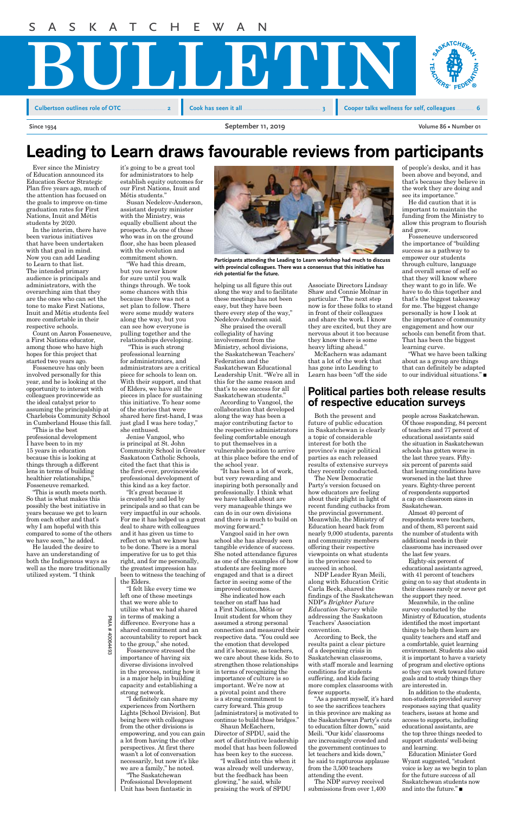PMA # 40064493 PMA # 40064493

Ever since the Ministry of Education announced its Education Sector Strategic Plan five years ago, much of the attention has focused on the goals to improve on-time graduation rates for First Nations, Inuit and Métis students by 2020.

In the interim, there have been various initiatives that have been undertaken with that goal in mind. Now you can add Leading to Learn to that list. The intended primary audience is principals and administrators, with the overarching aim that they are the ones who can set the tone to make First Nations, Inuit and Métis students feel more comfortable in their respective schools.

Count on Aaron Fosseneuve, a First Nations educator, among those who have high hopes for this project that started two years ago.



Fosseneuve has only been involved personally for this year, and he is looking at the opportunity to interact with colleagues provincewide as the ideal catalyst prior to assuming the principalship at Charlebois Community School in Cumberland House this fall.

"This is the best professional development I have been to in my 15 years in education because this is looking at things through a different lens in terms of building healthier relationships, Fosseneuve remarked.

"This is south meets north. So that is what makes this possibly the best initiative in years because we get to learn from each other and that's why I am hopeful with this compared to some of the others we have seen," he added.

He lauded the desire to have an understanding of both the Indigenous ways as

well as the more traditionally utilized system. "I think



**Participants attending the Leading to Learn workshop had much to discuss with provincial colleagues. There was a consensus that this initiative has rich potential for the future.** 

# Leading to Learn draws favourable reviews from participants

# Political parties both release results of respective education surveys

it's going to be a great tool for administrators to help establish equity outcomes for our First Nations, Inuit and Métis students."

Susan Nedelcov-Anderson, assistant deputy minister with the Ministry, was equally ebullient about the prospects. As one of those who was in on the ground floor, she has been pleased with the evolution and commitment shown.

"We had this dream, but you never know for sure until you walk things through. We took some chances with this because there was not a set plan to follow. There were some muddy waters along the way, but you can see how everyone is pulling together and the relationships developing.

 "This is such strong professional learning for administrators, and administrators are a critical piece for schools to lean on. With their support, and that of Elders, we have all the pieces in place for sustaining this initiative. To hear some of the stories that were shared here first-hand, I was just glad I was here today," she enthused.

Jenise Vangool, who is principal at St. John Community School in Greater Saskatoon Catholic Schools, cited the fact that this is the first-ever, provincewide professional development of this kind as a key factor.

"It's great because it is created by and led by principals and so that can be very impactful in our schools. For me it has helped us a great deal to share with colleagues and it has given us time to reflect on what we know has to be done. There is a moral imperative for us to get this right, and for me personally,

the greatest impression has been to witness the teaching of the Elders.

"I felt like every time we left one of these meetings that we were able to utilize what we had shared in terms of making a difference. Everyone has a shared commitment and an accountability to report back to the group," she noted.

Fosseneuve stressed the importance of having six diverse divisions involved in the process, noting how it is a major help in building capacity and establishing a strong network.

"I definitely can share my experiences from Northern Lights [School Division]. But being here with colleagues from the other divisions is empowering, and you can gain a lot from having the other perspectives. At first there wasn't a lot of conversation necessarily, but now it's like we are a family," he noted.

"The Saskatchewan Professional Development Unit has been fantastic in

Both the present and future of public education in Saskatchewan is clearly a topic of considerable interest for both the province's major political parties as each released results of extensive surveys they recently conducted.

> Education Minister Gord Wyant suggested, "student voice is key as we begin to plan for the future success of all Saskatchewan students now and into the future." $\blacksquare$

The New Democratic Party's version focused on how educators are feeling about their plight in light of recent funding cutbacks from the provincial government. Meanwhile, the Ministry of Education heard back from nearly 9,000 students, parents and community members offering their respective viewpoints on what students in the province need to

succeed in school.

NDP Leader Ryan Meili, along with Education Critic Carla Beck, shared the findings of the Saskatchewan NDP's *Brighter Future Education Survey* while addressing the Saskatoon Teachers' Association convention.

"What we have been talking about as a group are things that can definitely be adapted to our individual situations." $\blacksquare$ 

According to Beck, the results paint a clear picture of a deepening crisis in Saskatchewan classrooms, with staff morale and learning conditions for students suffering, and kids facing more complex classrooms with fewer supports.

"As a parent myself, it's hard to see the sacrifices teachers in this province are making as the Saskatchewan Party's cuts to education filter down," said Meili. "Our kids' classrooms are increasingly crowded and the government continues to let teachers and kids down," he said to rapturous applause from the 3,500 teachers attending the event.

The NDP survey received submissions from over 1,400

helping us all figure this out along the way and to facilitate these meetings has not been easy, but they have been there every step of the way," Nedelcov-Anderson said.

She praised the overall collegiality of having involvement from the Ministry, school divisions, the Saskatchewan Teachers' Federation and the Saskatchewan Educational Leadership Unit. "We're all in this for the same reason and that's to see success for all Saskatchewan students."

According to Vangool, the collaboration that developed along the way has been a major contributing factor to the respective administrators feeling comfortable enough to put themselves in a vulnerable position to arrive at this place before the end of the school year.

"It has been a lot of work, but very rewarding and inspiring both personally and professionally. I think what we have talked about are very manageable things we can do in our own divisions and there is much to build on moving forward."

Vangool said in her own school she has already seen tangible evidence of success. She noted attendance figures as one of the examples of how

students are feeling more engaged and that is a direct factor in seeing some of the improved outcomes.

She indicated how each teacher on staff has had a First Nations, Métis or Inuit student for whom they assumed a strong personal connection and measured their respective data. "You could see the emotion that developed and it's because, as teachers, we care about these kids. So to strengthen those relationships in terms of recognizing the importance of culture is so important. We're now at a pivotal point and there is a strong commitment to carry forward. This group [administrators] is motivated to continue to build those bridges."

Shaun McEachern, Director of SPDU, said the sort of distributive leadership model that has been followed has been key to the success.

"I walked into this when it was already well underway, but the feedback has been glowing," he said, while praising the work of SPDU

people across Saskatchewan. Of those responding, 84 percent of teachers and 77 percent of educational assistants said the situation in Saskatchewan schools has gotten worse in the last three years. Fiftysix percent of parents said that learning conditions have worsened in the last three years. Eighty-three percent of respondents supported a cap on classroom sizes in Saskatchewan.

Almost 40 percent of respondents were teachers, and of them, 83 percent said the number of students with additional needs in their classrooms has increased over the last few years.

Eighty-six percent of

educational assistants agreed, with 41 percent of teachers going on to say that students in their classes rarely or never get the support they need.

Meanwhile, in the online survey conducted by the Ministry of Education, students identified the most important things to help them learn are quality teachers and staff and a comfortable, quiet learning environment. Students also said it is important to have a variety of program and elective options so they can work toward future goals and to study things they are interested in.

In addition to the students, non-students provided survey responses saying that quality teachers, issues at home and access to supports, including educational assistants, are the top three things needed to support students' well-being and learning.

Associate Directors Lindsay Shaw and Connie Molnar in particular. "The next step now is for these folks to stand in front of their colleagues and share the work. I know they are excited, but they are nervous about it too because they know there is some heavy lifting ahead."

McEachern was adamant that a lot of the work that has gone into Leading to Learn has been "off the side

of people's desks, and it has been above and beyond, and that's because they believe in the work they are doing and see its importance."

He did caution that it is important to maintain the funding from the Ministry to allow this program to flourish and grow.

Fosseneuve underscored the importance of "building success as a pathway to empower our students through culture, language and overall sense of self so that they will know where they want to go in life. We have to do this together and that's the biggest takeaway for me. The biggest change personally is how I look at the importance of community engagement and how our schools can benefit from that. That has been the biggest learning curve.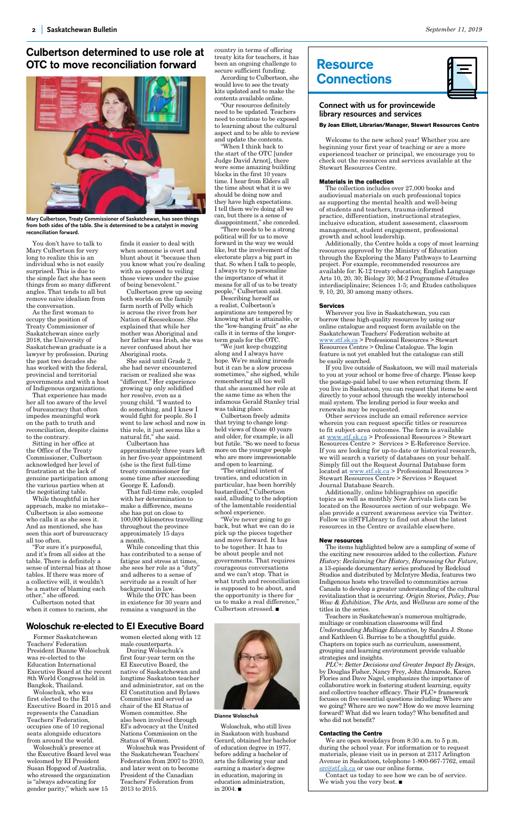You don't have to talk to Mary Culbertson for very long to realize this is an individual who is not easily surprised. This is due to the simple fact she has seen things from so many different angles. That tends to all but remove naive idealism from the conversation.

As the first woman to occupy the position of Treaty Commissioner of Saskatchewan since early 2018, the University of Saskatchewan graduate is a lawyer by profession. During the past two decades she has worked with the federal, provincial and territorial governments and with a host of Indigenous organizations.

That experience has made her all too aware of the level of bureaucracy that often impedes meaningful work on the path to truth and reconciliation, despite claims to the contrary.

Sitting in her office at the Office of the Treaty Commissioner, Culbertson acknowledged her level of frustration at the lack of genuine participation among the various parties when at the negotiating table.

While thoughtful in her approach, make no mistake– Culbertson is also someone who calls it as she sees it. And as mentioned, she has seen this sort of bureaucracy all too often.

"For sure it's purposeful, and it's from all sides at the table. There is definitely a sense of internal bias at those tables. If there was more of a collective will, it wouldn't be a matter of blaming each other," she offered.

Culbertson noted that when it comes to racism, she



**Mary Culbertson, Treaty Commissioner of Saskatchewan, has seen things from both sides of the table. She is determined to be a catalyst in moving reconciliation forward.**

# Culbertson determined to use role at OTC to move reconciliation forward

finds it easier to deal with when someone is overt and blunt about it "because then you know what you're dealing with as opposed to veiling those views under the guise of being benevolent."

Culbertson grew up seeing both worlds on the family farm north of Pelly which is across the river from her Nation of Keeseekoose. She explained that while her mother was Aboriginal and her father was Irish, she was never confused about her Aboriginal roots.

She said until Grade 2, she had never encountered racism or realized she was "different." Her experience growing up only solidified her resolve, even as a young child. "I wanted to do something, and I knew I would fight for people. So I went to law school and now in this role, it just seems like a natural fit," she said.

Culbertson has approximately three years left in her five-year appointment (she is the first full-time treaty commissioner for some time after succeeding George E. Lafond).

That full-time role, coupled with her determination to make a difference, means she has put on close to 100,000 kilometres travelling throughout the province approximately 15 days a month.

While conceding that this has contributed to a sense of fatigue and stress at times, she sees her role as a "duty" and adheres to a sense of servitude as a result of her background in law. While the OTC has been in existence for 30 years and remains a vanguard in the

# **Connect with us for provincewide library resources and services**

# **By Joan Elliott, Librarian/Manager, Stewart Resources Centre**

Welcome to the new school year! Whether you are beginning your first year of teaching or are a more experienced teacher or principal, we encourage you to check out the resources and services available at the Stewart Resources Centre.

### **Materials in the collection**

Contact us today to see how we can be of service. We wish you the very best.  $\blacksquare$ 

The collection includes over 27,000 books and audiovisual materials on such professional topics as supporting the mental health and well-being of students and teachers, trauma-informed practice, differentiation, instructional strategies, inclusive education, student assessment, classroom management, student engagement, professional growth and school leadership.

Additionally, the Centre holds a copy of most learning resources approved by the Ministry of Education through the Exploring the Many Pathways to Learning project. For example, recommended resources are available for: K-12 treaty education; English Language Arts 10, 20, 30; Biology 30; M-2 Programme d'études interdisciplinaire; Sciences 1-5; and Études catholiques 9, 10, 20, 30 among many others.

### **Services**

Wherever you live in Saskatchewan, you can borrow these high-quality resources by using our online catalogue and request form available on the Saskatchewan Teachers' Federation website at <www.stf.sk.ca> > Professional Resources > Stewart Resources Centre > Online Catalogue. The login feature is not yet enabled but the catalogue can still be easily searched.

If you live outside of Saskatoon, we will mail materials to you at your school or home free of charge. Please keep the postage-paid label to use when returning them. If you live in Saskatoon, you can request that items be sent directly to your school through the weekly interschool mail system. The lending period is four weeks and renewals may be requested.

Other services include an email reference service wherein you can request specific titles or resources to fit subject-area outcomes. The form is available at<www.stf.sk.ca> > Professional Resources > Stewart Resources Centre > Services > E-Reference Service. If you are looking for up-to-date or historical research, we will search a variety of databases on your behalf. Simply fill out the Request Journal Database form located at <u>www.stf.sk.ca</u> > Professional Resources > Stewart Resources Centre > Services > Request Journal Database Search.

courageous conversations and we can't stop. That is what truth and reconciliation is supposed to be about, and the opportunity is there for us to make a real difference," Culbertson stressed.  $\blacksquare$ 

Woloschuk, who still lives in Saskatoon with husband Gerard, obtained her bachelor of education degree in 1977, before adding a bachelor of arts the following year and earning a master's degree in education, majoring in education administration, in 2004. $\blacksquare$ 

Additionally, online bibliographies on specific topics as well as monthly New Arrivals lists can be located on the Resources section of our webpage. We also provide a current awareness service via Twitter. Follow us @STFLibrary to find out about the latest resources in the Centre or available elsewhere.

### **New resources**

The items highlighted below are a sampling of some of the exciting new resources added to the collection. *Future History: Reclaiming Our History, Harnessing Our Future*,

a 13-episode documentary series produced by Redcloud Studios and distributed by McIntyre Media, features two Indigenous hosts who travelled to communities across Canada to develop a greater understanding of the cultural revitalization that is occurring. *Origin Stories*, *Policy*, *Pow Wow & Exhibition*, *The Arts*, and *Wellness* are some of the titles in the series.

Teachers in Saskatchewan's numerous multigrade, multiage or combination classrooms will find *Understanding Multiage Education*, by Sandra J. Stone and Kathleen G. Burriss to be a thoughtful guide. Chapters on topics such as curriculum, assessment, grouping and learning environment provide valuable strategies and insights.

*PLC+: Better Decisions and Greater Impact By Design*, by Douglas Fisher, Nancy Frey, John Almarode, Karen Flories and Dave Nagel, emphasizes the importance of collaborative work in fostering student learning, equity and collective teacher efficacy. Their PLC+ framework focuses on five essential questions including: Where are we going? Where are we now? How do we move learning forward? What did we learn today? Who benefited and who did not benefit?

### **Contacting the Centre**

We are open weekdays from 8:30 a.m. to 5 p.m. during the school year. For information or to request materials, please visit us in person at 2317 Arlington Avenue in Saskatoon, telephone 1-800-667-7762, email [src@stf.sk.ca](mailto:src%40stf.sk.ca?subject=) or use our online forms.

Former Saskatchewan Teachers' Federation President Dianne Woloschuk was re-elected to the Education International Executive Board at the recent 8th World Congress held in Bangkok, Thailand.

Woloschuk, who was first elected to the EI Executive Board in 2015 and represents the Canadian Teachers' Federation, occupies one of 10 regional seats alongside educators from around the world.

Woloschuk's presence at the Executive Board level was welcomed by EI President Susan Hopgood of Australia, who stressed the organization is "always advocating for gender parity," which saw 15

# Woloschuk re-elected to EI Executive Board

women elected along with 12 male counterparts.

During Woloschuk's first four-year term on the EI Executive Board, the native of Saskatchewan and longtime Saskatoon teacher and administrator, sat on the EI Constitution and Bylaws Committee and served as chair of the EI Status of Women committee. She also been involved through EI's advocacy at the United Nations Commission on the Status of Women.

Woloschuk was President of the Saskatchewan Teachers' Federation from 2007 to 2010, and later went on to become President of the Canadian Teachers' Federation from 2013 to 2015.



country in terms of offering treaty kits for teachers, it has been an ongoing challenge to secure sufficient funding.

According to Culbertson, she would love to see the treaty kits updated and to make the contents available online.

"Our resources definitely need to be updated. Teachers need to continue to be exposed to learning about the cultural aspect and to be able to review and update the contents.

"When I think back to the start of the OTC [under Judge David Arnot], there were some amazing building blocks in the first 10 years time. I hear from Elders all the time about what it is we should be doing now and they have high expectations. I tell them we're doing all we can, but there is a sense of disappointment," she conceded.

"There needs to be a strong political will for us to move forward in the way we would like, but the involvement of the electorate plays a big part in that. So when I talk to people, I always try to personalize the importance of what it means for all of us to be treaty people," Culbertson said.

Describing herself as a realist, Culbertson's aspirations are tempered by knowing what is attainable, or the "low-hanging fruit" as she calls it in terms of the longerterm goals for the OTC.

"We just keep chugging along and I always have hope. We're making inroads but it can be a slow process sometimes," she sighed, while remembering all too well that she assumed her role at the same time as when the infamous Gerald Stanley trial was taking place.

Culbertson freely admits that trying to change longheld views of those 40 years and older, for example, is all but futile. "So we need to focus more on the younger people who are more impressionable and open to learning.

"The original intent of treaties, and education in particular, has been horribly bastardized," Culbertson said, alluding to the adoption of the lamentable residential school experience.

"We're never going to go back, but what we can do is pick up the pieces together and move forward. It has to be together. It has to be about people and not governments. That requires

# **Resource Connections**



### **Dianne Woloschuk**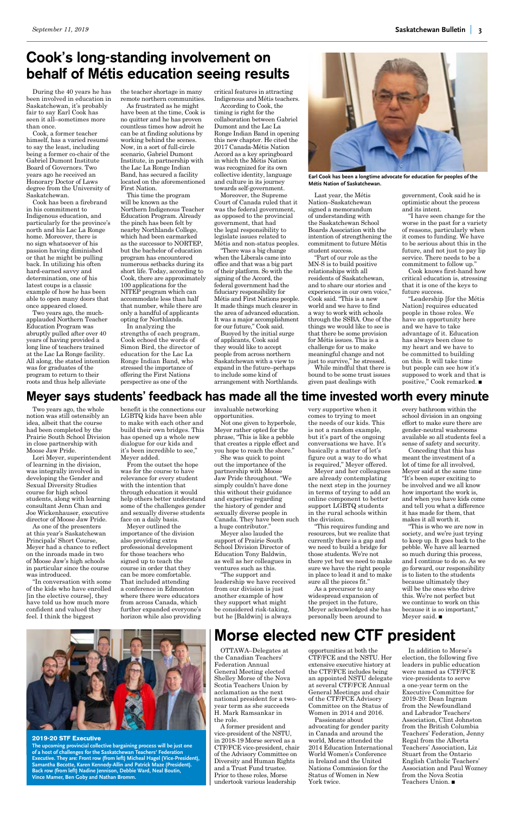# <span id="page-2-0"></span>Cook's long-standing involvement on behalf of Métis education seeing results

During the 40 years he has been involved in education in Saskatchewan, it's probably fair to say Earl Cook has seen it all–sometimes more than once.

Cook, a former teacher himself, has a varied resumé to say the least, including being a former co-chair of the Gabriel Dumont Institute Board of Governors. Two years ago he received an Honorary Doctor of Laws degree from the University of Saskatchewan.

Cook has been a firebrand in his commitment to Indigenous education, and particularly for the province's north and his Lac La Ronge home. Moreover, there is no sign whatsoever of his passion having diminished or that he might be pulling back. In utilizing his often hard-earned savvy and determination, one of his latest coups is a classic example of how he has been able to open many doors that once appeared closed.

Two years ago, the muchapplauded Northern Teacher Education Program was abruptly pulled after over 40 years of having provided a long line of teachers trained at the Lac La Ronge facility. All along, the stated intention was for graduates of the program to return to their roots and thus help alleviate

critical features in attracting Indigenous and Métis teachers.

According to Cook, the timing is right for the collaboration between Gabriel Dumont and the Lac La Ronge Indian Band in opening this new chapter. He cited the 2017 Canada-Métis Nation Accord as a key springboard in which the Métis Nation was recognized for its own collective identity, language and culture in its journey towards self-government.

Moreover, the Supreme Court of Canada ruled that it was the federal government, as opposed to the provincial government, that had the legal responsibility to legislate issues related to Métis and non-status peoples.

"There was a big change when the Liberals came into office and that was a big part of their platform. So with the signing of the Accord, the federal government had the fiduciary responsibility for Métis and First Nations people. It made things much clearer in the area of advanced education. It was a major accomplishment for our future," Cook said.

Buoyed by the initial surge of applicants, Cook said they would like to accept people from across northern Saskatchewan with a view to expand in the future–perhaps to include some kind of arrangement with Northlands.

the teacher shortage in many remote northern communities.

As frustrated as he might have been at the time, Cook is no quitter and he has proven countless times how adroit he can be at finding solutions by working behind the scenes. Now, in a sort of full-circle scenario, Gabriel Dumont Institute, in partnership with the Lac La Ronge Indian Band, has secured a facility located on the aforementioned First Nation.

This time the program will be known as the Northern Indigenous Teacher Education Program. Already the pinch has been felt by nearby Northlands College, which had been earmarked as the successor to NORTEP, but the bachelor of education program has encountered numerous setbacks during its short life. Today, according to Cook, there are approximately 100 applications for the NITEP program which can accommodate less than half that number, while there are only a handful of applicants opting for Northlands.

In analyzing the strengths of each program, Cook echoed the words of Simon Bird, the director of education for the Lac La Ronge Indian Band, who stressed the importance of offering the First Nations perspective as one of the

# Morse elected new CTF president

"I have seen change for the worse in the past for a variety of reasons, particularly when it comes to funding. We have to be serious about this in the future, and not just to pay lip service. There needs to be a commitment to follow up."

OTTAWA–Delegates at the Canadian Teachers' Federation Annual General Meeting elected Shelley Morse of the Nova Scotia Teachers Union by acclamation as the next national president for a twoyear term as she succeeds H. Mark Ramsankar in the role.

"Leadership [for the Métis Nation] requires educated people in those roles. We have an opportunity here and we have to take advantage of it. Education has always been close to my heart and we have to be committed to building on this. It will take time but people can see how it's supposed to work and that is positive," Cook remarked.  $\blacksquare$ 

A former president and vice-president of the NSTU, in 2018-19 Morse served as a CTF/FCE vice-president, chair of the Advisory Committee on Diversity and Human Rights and a Trust Fund trustee. Prior to these roles, Morse undertook various leadership

opportunities at both the CTF/FCE and the NSTU. Her extensive executive history at the CTF/FCE includes being an appointed NSTU delegate at several CTF/FCE Annual General Meetings and chair of the CTF/FCE Advisory Committee on the Status of Women in 2014 and 2016.

Passionate about advocating for gender parity in Canada and around the world, Morse attended the 2014 Education International World Women's Conference in Ireland and the United Nations Commission for the Status of Women in New York twice.

# Meyer says students' feedback has made all the time invested worth every minute

Two years ago, the whole notion was still ostensibly an idea, albeit that the course had been completed by the Prairie South School Division in close partnership with Moose Jaw Pride.

Lori Meyer, superintendent of learning in the division, was integrally involved in developing the Gender and Sexual Diversity Studies course for high school students, along with learning consultant Jenn Chan and Joe Wickenhauser, executive director of Moose Jaw Pride.

"This is who we are now in society, and we're just trying to keep up. It goes back to the pebble. We have all learned so much during this process, and I continue to do so. As we go forward, our responsibility is to listen to the students because ultimately they will be the ones who drive this. We're not perfect but we continue to work on this because it is so important," Meyer said.  $\blacksquare$ 

As one of the presenters at this year's Saskatchewan Principals' Short Course, Meyer had a chance to reflect on the inroads made in two of Moose Jaw's high schools

in particular since the course was introduced.

> In addition to Morse's election, the following five leaders in public education were named as CTF/FCE vice-presidents to serve a one-year term on the Executive Committee for 2019-20: Dean Ingram from the Newfoundland and Labrador Teachers' Association, Clint Johnston from the British Columbia Teachers' Federation, Jenny Regal from the Alberta Teachers' Association, Liz Stuart from the Ontario English Catholic Teachers' Association and Paul Wozney from the Nova Scotia Teachers Union.  $\blacksquare$

"In conversation with some of the kids who have enrolled [in the elective course], they have told us how much more confident and valued they feel. I think the biggest

benefit is the connections our LGBTQ kids have been able to make with each other and build their own bridges. This has opened up a whole new dialogue for our kids and it's been incredible to see," Meyer added.

From the outset the hope was for the course to have relevance for every student with the intention that through education it would help others better understand some of the challenges gender and sexually diverse students face on a daily basis.

Meyer outlined the importance of the division also providing extra professional development for those teachers who signed up to teach the course in order that they can be more comfortable. That included attending a conference in Edmonton where there were educators from across Canada, which further expanded everyone's horizon while also providing



**Earl Cook has been a longtime advocate for education for peoples of the Métis Nation of Saskatchewan.**

Last year, the Métis Nation–Saskatchewan signed a memorandum of understanding with the Saskatchewan School Boards Association with the intention of strengthening the commitment to future Métis student success.

"Part of our role as the MN-S is to build positive relationships with all residents of Saskatchewan, and to share our stories and experiences in our own voice," Cook said. "This is a new world and we have to find a way to work with schools through the SSBA. One of the things we would like to see is that there be some provision for Métis issues. This is a challenge for us to make meaningful change and not just to survive," he stressed.

While mindful that there is bound to be some trust issues given past dealings with

government, Cook said he is optimistic about the process and its intent.

Cook knows first-hand how critical education is, stressing that it is one of the keys to future success.

invaluable networking opportunities.

Not one given to hyperbole, Meyer rather opted for the phrase, "This is like a pebble that creates a ripple effect and you hope to reach the shore."

She was quick to point out the importance of the partnership with Moose Jaw Pride throughout. "We simply couldn't have done this without their guidance and expertise regarding the history of gender and sexually diverse people in Canada. They have been such a huge contributor."

Meyer also lauded the support of Prairie South School Division Director of Education Tony Baldwin, as well as her colleagues in

ventures such as this.

"The support and leadership we have received from our division is just another example of how they support what might be considered risk-taking, but he [Baldwin] is always



### **2019-20 STF Executive**

**The upcoming provincial collective bargaining process will be just one of a host of challenges for the Saskatchewan Teachers' Federation Executive. They are: Front row (from left) Micheal Hagel (Vice-President), Samantha Becotte, Karen Kennedy-Allin and Patrick Maze (President). Back row (from left) Nadine Jennison, Debbie Ward, Neal Boutin, Vince Mamer, Ben Goby and Nathan Bromm.**

very supportive when it comes to trying to meet the needs of our kids. This is not a random example, but it's part of the ongoing conversations we have. It's basically a matter of let's figure out a way to do what is required," Meyer offered.

Meyer and her colleagues are already contemplating the next step in the journey in terms of trying to add an online component to better support LGBTQ students in the rural schools within the division.

"This requires funding and resources, but we realize that currently there is a gap and we need to build a bridge for those students. We're not there yet but we need to make sure we have the right people in place to lead it and to make sure all the pieces fit." As a precursor to any widespread expansion of the project in the future, Meyer acknowledged she has personally been around to

every bathroom within the school division in an ongoing effort to make sure there are gender-neutral washrooms available so all students feel a sense of safety and security.

Conceding that this has meant the investment of a lot of time for all involved, Meyer said at the same time "It's been super exciting to be involved and we all know how important the work is, and when you have kids come and tell you what a difference it has made for them, that makes it all worth it.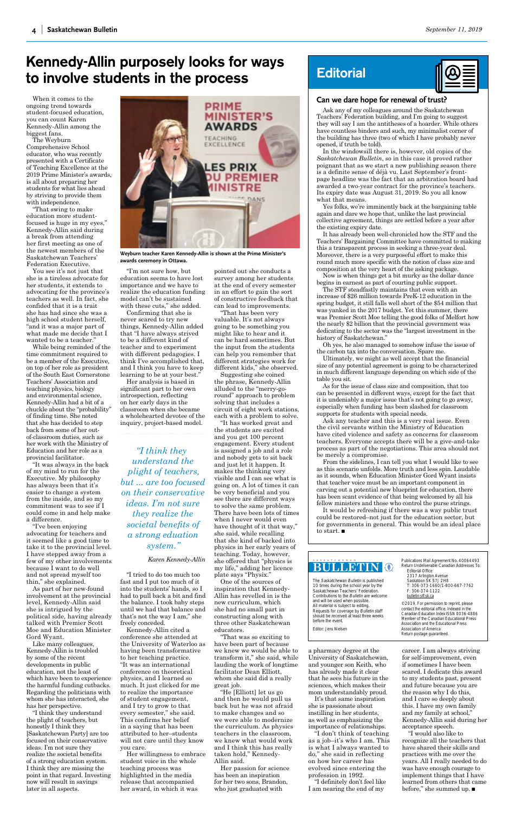## **bulletin**

saskatchewan

The Saskatchewan Bulletin is published 10 times during the school year by the s and saming the senset year by Contributions to the Bulletin are welcome and will be used when possible. All material is subject to editing. Requests for coverage by Bulletin staff should be received at least three weeks before the event.

Editor: Jens Nielsen

Return Undeliverable Canadian Addresses To: Editorial Office 2317 Arlington Avenue Saskatoon SK S7J 2H8 T: 306-373-1660/1-800-667-7762 F: 306-374-1122 bulletin [stf.sk.ca](mailto:bulletin%40stf.sk.ca?subject=)

©2019. For permission to reprint, please contact the editorial office. Indexed in the Canadian Education Index ISSN 0036-4886 Member of the Canadian Educational Press Association and the Educational Press Association of America Return postage guaranteed.

# **Can we dare hope for renewal of trust?**

Ask any of my colleagues around the Saskatchewan Teachers' Federation building, and I'm going to suggest they will say I am the antitheses of a hoarder. While others have countless binders and such, my minimalist corner of the building has three (two of which I have probably never opened, if truth be told).

In the windowsill there is, however, old copies of the *Saskatchewan Bulletin*, so in this case it proved rather poignant that as we start a new publishing season there is a definite sense of déjà vu. Last September's frontpage headline was the fact that an arbitration board had awarded a two-year contract for the province's teachers. Its expiry date was August 31, 2019. So you all know what that means.

Yes folks, we're imminently back at the bargaining table again and dare we hope that, unlike the last provincial collective agreement, things are settled before a year after the existing expiry date.

It would be refreshing if there was a way public trust could be restored–not just for the education sector, but for governments in general. This would be an ideal place to start.  $\blacksquare$ 

It has already been well-chronicled how the STF and the Teachers' Bargaining Committee have committed to making this a transparent process in seeking a three-year deal. Moreover, there is a very purposeful effort to make this round much more specific with the notion of class size and composition at the very heart of the asking package.

Now is when things get a bit murky as the dollar dance begins in earnest as part of courting public support.

The STF steadfastly maintains that even with an increase of \$26 million towards PreK-12 education in the spring budget, it still falls well short of the \$54 million that was yanked in the 2017 budget. Yet this summer, there was Premier Scott Moe telling the good folks of Melfort how the nearly \$2 billion that the provincial government was dedicating to the sector was the "largest investment in the history of Saskatchewan."

Oh yes, he also managed to somehow infuse the issue of the carbon tax into the conversation. Spare me.

Ultimately, we might as well accept that the financial size of any potential agreement is going to be characterized in much different language depending on which side of the table you sit.

As for the issue of class size and composition, that too can be presented in different ways, except for the fact that it is undeniably a major issue that's not going to go away, especially when funding has been slashed for classroom supports for students with special needs.

Ask any teacher and this is a very real issue. Even the civil servants within the Ministry of Education have cited violence and safety as concerns for classroom teachers. Everyone accepts there will be a give-and-take process as part of the negotiations. This area should not be merely a compromise.

Confirming that she is never scared to try new things, Kennedy-Allin added that "I have always strived to be a different kind of teacher and to experiment with different pedagogies. I think I've accomplished that, and I think you have to keep learning to be at your best."

> From the sidelines, I can tell you what I would like to see as this scenario unfolds. More truth and less spin. Laudable as it sounds, when Education Minister Gord Wyant insists that teacher voice must be an important component in carving out a potential new blueprint for education, there has been scant evidence of that being welcomed by all his fellow ministers and those who control the purse strings.

When it comes to the ongoing trend towards student-focused education, you can count Karen Kennedy-Allin among the biggest fans.

The Weyburn Comprehensive School educator, who was recently presented with a Certificate of Teaching Excellence at the 2019 Prime Minister's awards, is all about preparing her students for what lies ahead by striving to provide them with independence.

"That swing to make education more studentfocused is huge in my eyes," Kennedy-Allin said during a break from attending her first meeting as one of the newest members of the Saskatchewan Teachers' Federation Executive.

You see it's not just that she is a tireless advocate for her students, it extends to advocating for the province's teachers as well. In fact, she confided that it is a trait she has had since she was a high school student herself, "and it was a major part of what made me decide that I wanted to be a teacher."

While being reminded of the time commitment required to be a member of the Executive, on top of her role as president of the South East Cornerstone Teachers' Association and teaching physics, biology and environmental science, Kennedy-Allin had a bit of a chuckle about the "probability" of finding time. She noted that she has decided to step back from some of her outof-classroom duties, such as her work with the Ministry of Education and her role as a provincial facilitator.

"It was always in the back of my mind to run for the Executive. My philosophy has always been that it's easier to change a system from the inside, and so my commitment was to see if I could come in and help make a difference.

> "I would also like to recognize all the teachers that have shared their skills and practices with me over the years. All I really needed to do was have enough courage to implement things that I have learned from others that came before," she summed up.  $\blacksquare$

"I've been enjoying advocating for teachers and it seemed like a good time to take it to the provincial level. I have stepped away from a few of my other involvements

because I want to do well and not spread myself too thin," she explained.

As part of her new-found involvement at the provincial level, Kennedy-Allin said she is intrigued by the political side, having already talked with Premier Scott Moe and Education Minister Gord Wyant.

Like many colleagues, Kennedy-Allin is troubled by some of the recent developments in public education, not the least of which have been to experience the harmful funding cutbacks. Regarding the politicians with whom she has interacted, she has her perspective.

"I think they understand the plight of teachers, but honestly I think they [Saskatchewan Party] are too focused on their conservative ideas. I'm not sure they realize the societal benefits of a strong education system. I think they are missing the point in that regard. Investing now will result in savings later in all aspects.

# Kennedy-Allin purposely looks for ways to involve students in the process

"I'm not sure how, but education seems to have lost importance and we have to realize the education funding model can't be sustained with these cuts," she added.

Her analysis is based in significant part to her own introspection, reflecting on her early days in the classroom when she became a wholehearted devotee of the inquiry, project-based model.

"I tried to do too much too fast and I put too much of it into the students' hands, so I had to pull back a bit and find the balance. I took baby steps until we had that balance and that's not the way I am," she freely conceded.

Kennedy-Allin cited a conference she attended at the University of Waterloo as having been transformative to her teaching practice. "It was an international conference on theoretical physics, and I learned so much. It just clicked for me to realize the importance of student engagement, and I try to grow to that every semester," she said. This confirms her belief in a saying that has been attributed to her–students will not care until they know you care.

Her willingness to embrace student voice in the whole teaching process was highlighted in the media release that accompanied her award, in which it was

pointed out she conducts a survey among her students at the end of every semester in an effort to gain the sort of constructive feedback that can lead to improvements.

"That has been very valuable. It's not always going to be something you might like to hear and it can be hard sometimes. But the input from the students can help you remember that different strategies work for different kids," she observed.

Suggesting she coined the phrase, Kennedy-Allin alluded to the "merry-goround" approach to problem solving that includes a circuit of eight work stations, each with a problem to solve.

"It has worked great and the students are excited and you get 100 percent engagement. Every student is assigned a job and a role and nobody gets to sit back and just let it happen. It makes the thinking very visible and I can see what is going on. A lot of times it can be very beneficial and you see there are different ways to solve the same problem. There have been lots of times when I never would even have thought of it that way," she said, while recalling that she kind of backed into physics in her early years of teaching. Today, however, she offered that "physics is

# **Editorial**



my life," adding her licence plate says "Physix."

One of the sources of inspiration that Kennedy-Allin has revelled in is the new curriculum, which she had no small part in constructing along with three other Saskatchewan educators.

"That was so exciting to have been part of because we knew we would be able to transform it," she said, while lauding the work of longtime facilitator Dean Elliott, whom she said did a really great job.

"He [Elliott] let us go and then he would pull us back but he was not afraid to make changes and so we were able to modernize the curriculum. As physics teachers in the classroom, we knew what would work and I think this has really taken hold," Kennedy-Allin said.

Her passion for science has been an inspiration for her two sons, Brandon, who just graduated with



**Weyburn teacher Karen Kennedy-Allin is shown at the Prime Minister's awards ceremony in Ottawa.**

a pharmacy degree at the University of Saskatchewan, and younger son Keith, who has already made it clear that he sees his future in the sciences, which makes their mom understandably proud.

It's that same inspiration she is passionate about instilling in her students, as well as emphasizing the importance of relationships.

"I don't think of teaching as a job–it's who I am. This is what I always wanted to do," she said in reflecting on how her career has evolved since entering the profession in 1992.

"I definitely don't feel like I am nearing the end of my

career. I am always striving for self-improvement, even if sometimes I have been scared. I dedicate this award to my students past, present and future because you are the reason why I do this, and I care so deeply about this. I have my own family and my family at school," Kennedy-Allin said during her acceptance speech.

*"I think they understand the plight of teachers, but ... are too focused on their conservative ideas. I'm not sure they realize the societal benefits of a strong eduation system."*

*Karen Kennedy-Allin*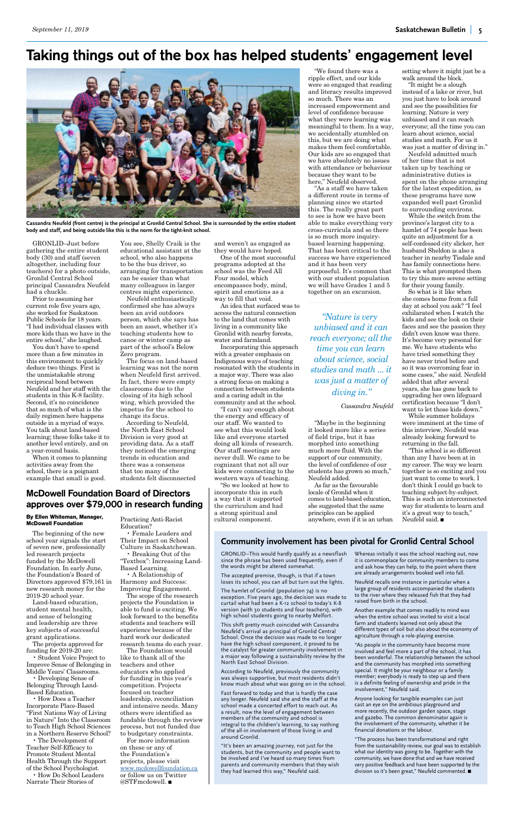# Taking things out of the box has helped students' engagement level

GRONLID–Just before gathering the entire student body (30) and staff (seven altogether, including four teachers) for a photo outside, Gronlid Central School principal Cassandra Neufeld had a chuckle.

Prior to assuming her current role five years ago, she worked for Saskatoon Public Schools for 18 years. "I had individual classes with more kids than we have in the entire school," she laughed.

You don't have to spend more than a few minutes in this environment to quickly deduce two things. First is the unmistakable strong reciprocal bond between Neufeld and her staff with the students in this K-8 facility. Second, it's no coincidence that so much of what is the daily regimen here happens outside in a myriad of ways. You talk about land-based learning; these folks take it to another level entirely, and on a year-round basis.

When it comes to planning activities away from the school, there is a poignant example that small is good.

You see, Shelly Craik is the educational assistant at the school, who also happens to be the bus driver, so arranging for transportation can be easier than what many colleagues in larger centres might experience.

Neufeld enthusiastically confirmed she has always been an avid outdoors person, which she says has been an asset, whether it's teaching students how to canoe or winter camp as part of the school's Below Zero program.

The focus on land-based learning was not the norm when Neufeld first arrived. In fact, there were empty classrooms due to the closing of its high school wing, which provided the impetus for the school to change its focus.

According to Neufeld, the North East School Division is very good at providing data. As a staff they noticed the emerging trends in education and there was a consensus that too many of the students felt disconnected

and weren't as engaged as they would have hoped.

One of the most successful programs adopted at the school was the Feed All Four model, which encompasses body, mind, spirit and emotions as a way to fill that void.

An idea that surfaced was to access the natural connection to the land that comes with living in a community like Gronlid with nearby forests, water and farmland.

"It might be a slough instead of a lake or river, but you just have to look around and see the possibilities for learning. Nature is very unbiased and it can reach everyone; all the time you can learn about science, social studies and math. For us it was just a matter of diving in."

Incorporating this approach with a greater emphasis on Indigenous ways of teaching resonated with the students in a major way. There was also a strong focus on making a connection between students and a caring adult in the community and at the school.

"I can't say enough about the energy and efficacy of our staff. We wanted to see what this would look like and everyone started doing all kinds of research. Our staff meetings are never dull. We came to be cognizant that not all our kids were connecting to the western ways of teaching.

"So we looked at how to incorporate this in such a way that it supported the curriculum and had a strong spiritual and cultural component.

"This school is so different than any I have been at in my career. The way we learn together is so exciting and you just want to come to work. I don't think I could go back to teaching subject-by-subject. This is such an interconnected way for students to learn and it's a great way to teach," Neufeld said.  $\blacksquare$ 



**Cassandra Neufeld (front centre) is the principal at Gronlid Central School. She is surrounded by the entire student body and staff, and being outside like this is the norm for the tight-knit school.**

McDowell Foundation Board of Directors

"We found there was a ripple effect, and our kids were so engaged that reading and literacy results improved so much. There was an increased empowerment and level of confidence because what they were learning was meaningful to them. In a way, we accidentally stumbled on this, but we are doing what makes them feel comfortable. Our kids are so engaged that we have absolutely no issues with attendance or behaviour because they want to be here," Neufeld observed.

"As a staff we have taken a different route in terms of planning since we started this. The really great part to see is how we have been able to make everything very cross-curricula and so there is so much more inquirybased learning happening. That has been critical to the success we have experienced and it has been very purposeful. It's common that with our student population we will have Grades 1 and 5 together on an excursion.

For more information on these or any of the Foundation's projects, please visit <www.mcdowellfoundation.ca> or follow us on Twitter @STF ${modowell.}$ 

"Maybe in the beginning it looked more like a series of field trips, but it has morphed into something much more fluid. With the support of our community, the level of confidence of our students has grown so much," Neufeld added.

As far as the favourable locale of Gronlid when it comes to land-based education, she suggested that the same principles can be applied anywhere, even if it is an urban

setting where it might just be a walk around the block.

Neufeld admitted much of her time that is not taken up by teaching or administrative duties is spent on the phone arranging for the latest expedition, as these programs have now expanded well past Gronlid to surrounding environs.

While the switch from the province's largest city to a hamlet of 74 people has been quite an adjustment for a self-confessed city slicker, her husband Sheldon is also a teacher in nearby Tisdale and has family connections here. This is what prompted them to try this more serene setting for their young family.

## approves over \$79,000 in research funding **By Ellen Whiteman, Manager,**  Practicing Anti-Racist

"The process has been transformational and right from the sustainability review, our goal was to establish what our identity was going to be. Together with the community, we have done that and we have received very positive feedback and have been supported by the division so it's been great," Neufeld commented.

So what is it like when she comes home from a full day at school you ask? "I feel exhilarated when I watch the kids and see the look on their faces and see the passion they didn't even know was there. It's become very personal for me. We have students who have tried something they have never tried before and so it was overcoming fear in some cases," she said. Neufeld added that after several years, she has gone back to upgrading her own lifeguard certification because "I don't want to let those kids down."

While summer holidays were imminent at the time of this interview, Neufeld was already looking forward to returning in the fall.

*"Nature is very unbiased and it can reach everyone; all the time you can learn about science, social studies and math ... it was just a matter of diving in."*

### *Cassandra Neufeld*

**McDowell Foundation**

The beginning of the new school year signals the start of seven new, professionally led research projects funded by the McDowell

Foundation. In early June, the Foundation's Board of Directors approved \$79,161 in new research money for the 2019-20 school year.

Land-based education, student mental health, and sense of belonging and leadership are three key subjects of successful grant applications.

The projects approved for funding for 2019-20 are:

• Student Voice Project to Improve Sense of Belonging in Middle Years' Classrooms.

• Developing Sense of Belonging Through Land-Based Education.

• How Does a Teacher Incorporate Place-Based "First Nations Way of Living in Nature" Into the Classroom to Teach High School Sciences in a Northern Reserve School?

• The Development of Teacher Self-Efficacy to Promote Student Mental Health Through the Support of the School Psychologist.

• How Do School Leaders Narrate Their Stories of

Education?

• Female Leaders and Their Impact on School Culture in Saskatchewan. • Breaking Out of the "Textbox": Increasing Land-

Based Learning.

• A Relationship of Harmony and Success: Improving Engagement.

The scope of the research projects the Foundation is able to fund is exciting. We look forward to the benefits students and teachers will experience because of the hard work our dedicated research teams do each year.

The Foundation would like to thank all of the teachers and other educators who applied for funding in this year's competition. Projects focused on teacher leadership, reconciliation and intensive needs. Many others were identified as fundable through the review process, but not funded due to budgetary constraints.

# **Community involvement has been pivotal for Gronlid Central School**

GRONLID–This would hardly qualify as a newsflash Whereas initially it was the school reaching out, now since the phrase has been used frequently, even if

the words might be altered somewhat.

The accepted premise, though, is that if a town loses its school, you can all but turn out the lights.

The hamlet of Gronlid (population 74) is no exception. Five years ago, the decision was made to curtail what had been a K-12 school to today's K-8 version (with 30 students and four teachers), with high school students going to nearby Melfort.

This shift pretty much coincided with Cassandra Neufeld's arrival as principal of Gronlid Central School. Once the decision was made to no longer have the high school component, it proved to be the catalyst for greater community involvement in a major way following a sustainability review by the North East School Division.

According to Neufeld, previously the community was always supportive, but most residents didn't know much about what was going on in the school.

Fast forward to today and that is hardly the case any longer. Neufeld said she and the staff at the school made a concerted effort to reach out. As a result, now the level of engagement between members of the community and school is integral to the children's learning, to say nothing of the all-in involvement of those living in and around Gronlid.

"It's been an amazing journey, not just for the students, but the community and people want to be involved and I've heard so many times from parents and community members that they wish they had learned this way," Neufeld said.

it is commonplace for community members to come

and ask how they can help, to the point where there are already arrangements booked well into fall.

Neufeld recalls one instance in particular when a large group of residents accompanied the students to the river where they released fish that they had raised from birth in the school.

Another example that comes readily to mind was when the entire school was invited to visit a local farm and students learned not only about the different types of soil but also about the economy of agriculture through a role-playing exercise.

"As people in the community have become more involved and feel more a part of the school, it has been wonderful. The relationship between the school and the community has morphed into something special. It might be your neighbour or a family member; everybody is ready to step up and there is a definite feeling of ownership and pride in the involvement," Neufeld said.

Anyone looking for tangible examples can just cast an eye on the ambitious playground and more recently, the outdoor garden space, stage and gazebo. The common denominator again is the involvement of the community, whether it be financial donations or the labour.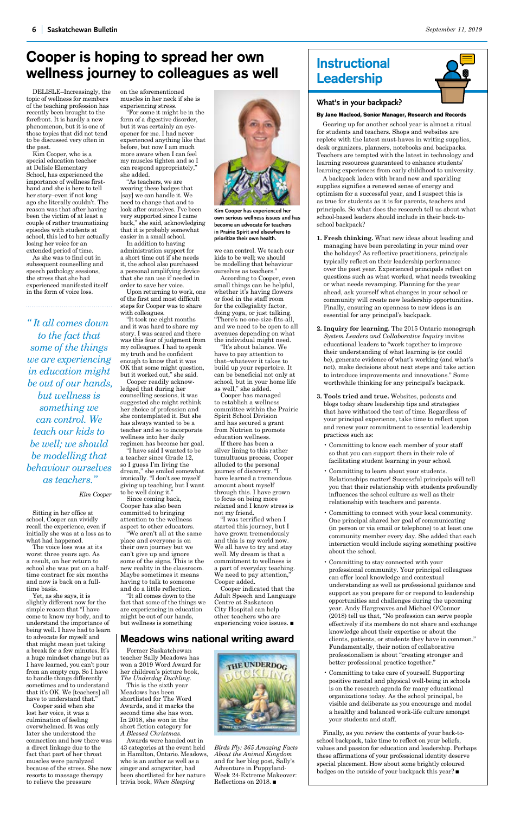# <span id="page-5-0"></span>Cooper is hoping to spread her own wellness journey to colleagues as well

# Meadows wins national writing award

DELISLE–Increasingly, the topic of wellness for members of the teaching profession has recently been brought to the forefront. It is hardly a new phenomenon, but it is one of those topics that did not tend to be discussed very often in the past.

Kim Cooper, who is a special education teacher at Delisle Elementary School, has experienced the importance of wellness firsthand and she is here to tell her story–even if not long ago she literally couldn't. The reason was that after having been the victim of at least a couple of rather traumatizing episodes with students at school, this led to her actually losing her voice for an extended period of time.

As she was to find out in subsequent counselling and speech pathology sessions, the stress that she had experienced manifested itself in the form of voice loss.

Sitting in her office at school, Cooper can vividly recall the experience, even if initially she was at a loss as to

what had happened.

The voice loss was at its worst three years ago. As a result, on her return to

school she was put on a halftime contract for six months and now is back on a fulltime basis.

Yet, as she says, it is slightly different now for the simple reason that "I have come to know my body, and to understand the importance of being well. I have had to learn to advocate for myself and that might mean just taking a break for a few minutes. It's a huge mindset change but as I have learned, you can't pour from an empty cup. So I have to handle things differently sometimes and to understand that it's OK. We [teachers] all have to understand that."

Cooper said when she lost her voice, it was a culmination of feeling overwhelmed. It was only later she understood the connection and how there was a direct linkage due to the fact that part of her throat muscles were paralyzed because of the stress. She now resorts to massage therapy to relieve the pressure

"I have said I wanted to be a teacher since Grade 12, so I guess I'm living the dream," she smiled somewhat ironically. "I don't see myself giving up teaching, but I want to be well doing it."

Former Saskatchewan teacher Sally Meadows has won a 2019 Word Award for her children's picture book, *The Underdog Duckling.*

This is the sixth year Meadows has been shortlisted for The Word Awards, and it marks the second time she has won. In 2018, she won in the short fiction category for *A Blessed Christmas.*

Awards were handed out in 43 categories at the event held in Hamilton, Ontario. Meadows, who is an author as well as a singer and songwriter, had been shortlisted for her nature trivia book, *When Sleeping* 



on the aforementioned muscles in her neck if she is experiencing stress.

"For some it might be in the form of a digestive disorder, but it was certainly an eyeopener for me. I had never experienced anything like that before, but now I am much more aware when I can feel my muscles tighten and so I can respond appropriately," she added.

> a part of everyday teaching. We need to pay attention," Cooper added.

Cooper indicated that the Adult Speech and Language Centre at Saskatoon City Hospital can help other teachers who are experiencing voice issues.  $\blacksquare$ 

"As teachers, we are wearing these badges that [say] we can handle it. We need to change that and to look after ourselves. I've been very supported since I came back," she said, acknowledging that it is probably somewhat easier in a small school.

In addition to having administration support for a short time out if she needs it, the school also purchased a personal amplifying device that she can use if needed in order to save her voice.

Upon returning to work, one of the first and most difficult steps for Cooper was to share with colleagues.

"It took me eight months and it was hard to share my story. I was scared and there was this fear of judgment from my colleagues. I had to speak my truth and be confident enough to know that it was OK that some might question, but it worked out," she said.

Cooper readily acknowledged that during her counselling sessions, it was suggested she might rethink her choice of profession and she contemplated it. But she has always wanted to be a teacher and so to incorporate wellness into her daily regimen has become her goal.

Since coming back, Cooper has also been committed to bringing attention to the wellness aspect to other educators.

"We aren't all at the same place and everyone is on their own journey but we can't give up and ignore some of the signs. This is the new reality in the classroom. Maybe sometimes it means having to talk to someone and do a little reflection.

"It all comes down to the fact that some of the things we are experiencing in education might be out of our hands, but wellness is something

we can control. We teach our kids to be well; we should be modelling that behaviour ourselves as teachers."

> Finally, as you review the contents of your back-toschool backpack, take time to reflect on your beliefs, values and passion for education and leadership. Perhaps these affirmations of your professional identity deserve special placement. How about some brightly coloured badges on the outside of your backpack this year?  $\blacksquare$

According to Cooper, even small things can be helpful, whether it's having flowers or food in the staff room for the collegiality factor, doing yoga, or just talking. "There's no one-size-fits-all, and we need to be open to all avenues depending on what the individual might need.

*Birds Fly: 365 Amazing Facts About the Animal Kingdom*  and for her blog post, Sally's Adventure in Puppyland-Week 24-Extreme Makeover: Reflections on 2018.  $\blacksquare$ 

"It's about balance. We have to pay attention to that–whatever it takes to build up your repertoire. It can be beneficial not only at school, but in your home life as well," she added.

Cooper has managed to establish a wellness committee within the Prairie Spirit School Division and has secured a grant from Nutrien to promote education wellness.

If there has been a silver lining to this rather tumultuous process, Cooper alluded to the personal journey of discovery. "I have learned a tremendous amount about myself through this. I have grown to focus on being more relaxed and I know stress is not my friend.

"I was terrified when I started this journey, but I have grown tremendously and this is my world now. We all have to try and stay well. My dream is that a commitment to wellness is

# Instructional Leadership

# **What's in your backpack?**

## **By Jane Macleod, Senior Manager, Research and Records**

Gearing up for another school year is almost a ritual for students and teachers. Shops and websites are replete with the latest must-haves in writing supplies, desk organizers, planners, notebooks and backpacks. Teachers are tempted with the latest in technology and learning resources guaranteed to enhance students' learning experiences from early childhood to university.

A backpack laden with brand new and sparkling supplies signifies a renewed sense of energy and optimism for a successful year, and I suspect this is as true for students as it is for parents, teachers and principals. So what does the research tell us about what school-based leaders should include in their back-toschool backpack?

- **1. Fresh thinking.** What new ideas about leading and managing have been percolating in your mind over the holidays? As reflective practitioners, principals typically reflect on their leadership performance over the past year. Experienced principals reflect on questions such as what worked, what needs tweaking or what needs revamping. Planning for the year ahead, ask yourself what changes in your school or community will create new leadership opportunities. Finally, ensuring an openness to new ideas is an essential for any principal's backpack.
- **2. Inquiry for learning.** The 2015 Ontario monograph *System Leaders and Collaborative Inquiry* invites educational leaders to "work together to improve their understanding of what learning is (or could be), generate evidence of what's working (and what's not), make decisions about next steps and take action to introduce improvements and innovations." Some worthwhile thinking for any principal's backpack.
- **3. Tools tried and true.** Websites, podcasts and blogs today share leadership tips and strategies that have withstood the test of time. Regardless of your principal experience, take time to reflect upon and renew your commitment to essential leadership practices such as:
	- Committing to know each member of your staff so that you can support them in their role of facilitating student learning in your school.
	- Committing to learn about your students. Relationships matter! Successful principals will tell you that their relationship with students profoundly influences the school culture as well as their relationship with teachers and parents.
	- Committing to connect with your local community. One principal shared her goal of communicating (in person or via email or telephone) to at least one community member every day. She added that each interaction would include saying something positive about the school.
	- Committing to stay connected with your





professional community. Your principal colleagues can offer local knowledge and contextual understanding as well as professional guidance and support as you prepare for or respond to leadership opportunities and challenges during the upcoming year. Andy Hargreaves and Michael O'Connor (2018) tell us that, "No profession can serve people effectively if its members do not share and exchange knowledge about their expertise or about the clients, patients, or students they have in common." Fundamentally, their notion of collaborative professionalism is about "creating stronger and better professional practice together."

• Committing to take care of yourself. Supporting positive mental and physical well-being in schools is on the research agenda for many educational organizations today. As the school principal, be visible and deliberate as you encourage and model a healthy and balanced work-life culture amongst your students and staff.

**Kim Cooper has experienced her own serious wellness issues and has become an advocate for teachers in Prairie Spirit and elsewhere to prioritize their own health.**

*" It all comes down to the fact that some of the things we are experiencing in education might be out of our hands, but wellness is something we can control. We teach our kids to be well; we should be modelling that behaviour ourselves as teachers."* 

*Kim Cooper*